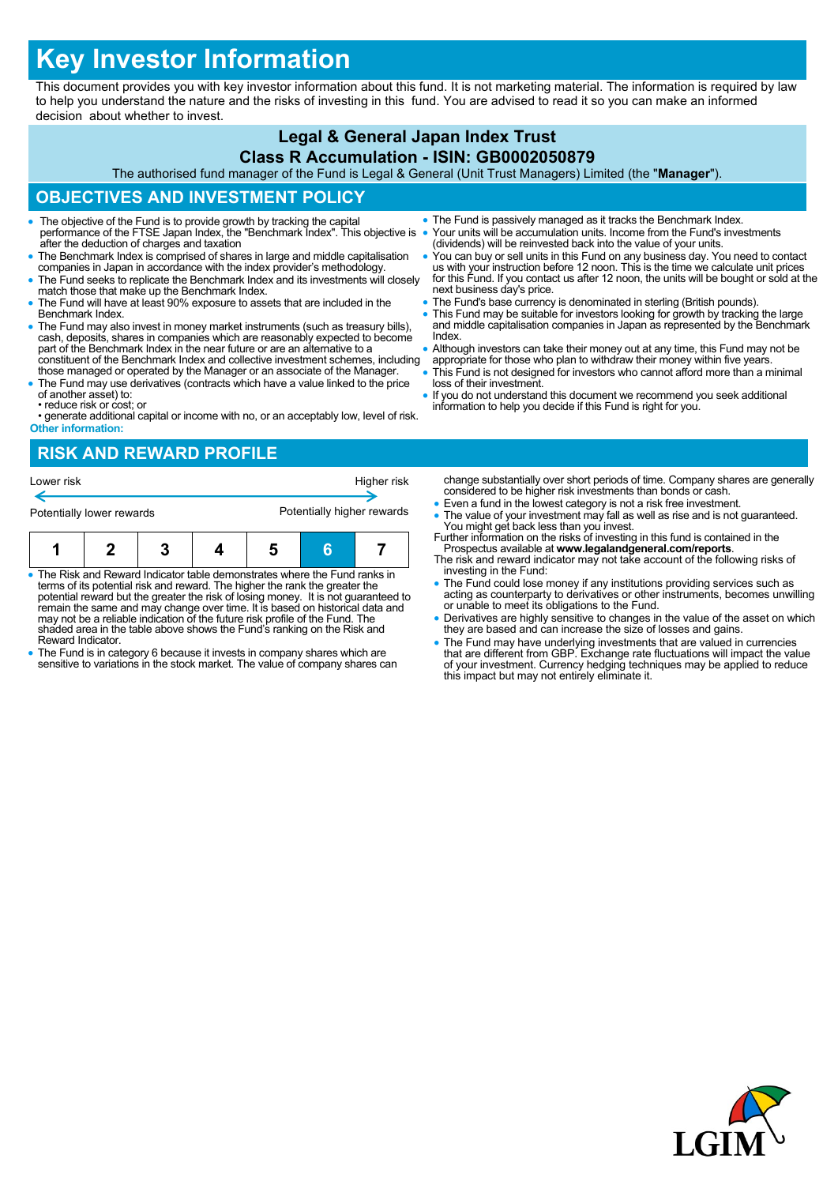# **Key Investor Information**

This document provides you with key investor information about this fund. It is not marketing material. The information is required by law to help you understand the nature and the risks of investing in this fund. You are advised to read it so you can make an informed decision about whether to invest.

### **Legal & General Japan Index Trust**

#### **Class R Accumulation - ISIN: GB0002050879**

The authorised fund manager of the Fund is Legal & General (Unit Trust Managers) Limited (the "**Manager**").

# **OBJECTIVES AND INVESTMENT POLICY**

- The objective of the Fund is to provide growth by tracking the capital performance of the FTSE Japan Index, the "Benchmark Index". This objective is after the deduction of charges and taxation
- The Benchmark Index is comprised of shares in large and middle capitalisation companies in Japan in accordance with the index provider's methodology.
- The Fund seeks to replicate the Benchmark Index and its investments will closely match those that make up the Benchmark Index.
- The Fund will have at least 90% exposure to assets that are included in the Benchmark Index.
- The Fund may also invest in money market instruments (such as treasury bills), cash, deposits, shares in companies which are reasonably expected to become part of the Benchmark Index in the near future or are an alternative to a constituent of the Benchmark Index and collective investment schemes, including
- those managed or operated by the Manager or an associate of the Manager. The Fund may use derivatives (contracts which have a value linked to the price
- of another asset) to: • reduce risk or cost; or
- generate additional capital or income with no, or an acceptably low, level of risk. **Other information:**

## **RISK AND REWARD PROFILE**

| Lower risk                |  |  |  | Higher risk                |  |  |
|---------------------------|--|--|--|----------------------------|--|--|
| Potentially lower rewards |  |  |  | Potentially higher rewards |  |  |
|                           |  |  |  |                            |  |  |

- The Risk and Reward Indicator table demonstrates where the Fund ranks in terms of its potential risk and reward. The higher the rank the greater the potential reward but the greater the risk of losing money. It is not guaranteed to remain the same and may change over time. It is based on historical data and may not be a reliable indication of the future risk profile of the Fund. The shaded area in the table above shows the Fund's ranking on the Risk and Reward Indicator.
- The Fund is in category 6 because it invests in company shares which are sensitive to variations in the stock market. The value of company shares can
- The Fund is passively managed as it tracks the Benchmark Index. Your units will be accumulation units. Income from the Fund's investments (dividends) will be reinvested back into the value of your units.
- You can buy or sell units in this Fund on any business day. You need to contact us with your instruction before 12 noon. This is the time we calculate unit prices for this Fund. If you contact us after 12 noon, the units will be bought or sold at the next business day's price.
- The Fund's base currency is denominated in sterling (British pounds).
- This Fund may be suitable for investors looking for growth by tracking the large and middle capitalisation companies in Japan as represented by the Benchmark Index.
- Although investors can take their money out at any time, this Fund may not be appropriate for those who plan to withdraw their money within five years.
- This Fund is not designed for investors who cannot afford more than a minimal loss of their investment.
- If you do not understand this document we recommend you seek additional information to help you decide if this Fund is right for you.

change substantially over short periods of time. Company shares are generally considered to be higher risk investments than bonds or cash.

- Even a fund in the lowest category is not a risk free investment.
- The value of your investment may fall as well as rise and is not guaranteed. You might get back less than you invest. Further information on the risks of investing in this fund is contained in the
- Prospectus available at **www.legalandgeneral.com/reports**. The risk and reward indicator may not take account of the following risks of
- investing in the Fund: The Fund could lose money if any institutions providing services such as acting as counterparty to derivatives or other instruments, becomes unwilling or unable to meet its obligations to the Fund.
- Derivatives are highly sensitive to changes in the value of the asset on which they are based and can increase the size of losses and gains.
- The Fund may have underlying investments that are valued in currencies<br>that are different from GBP. Exchange rate fluctuations will impact the value<br>of your investment. Currency hedging techniques may be applied to reduc